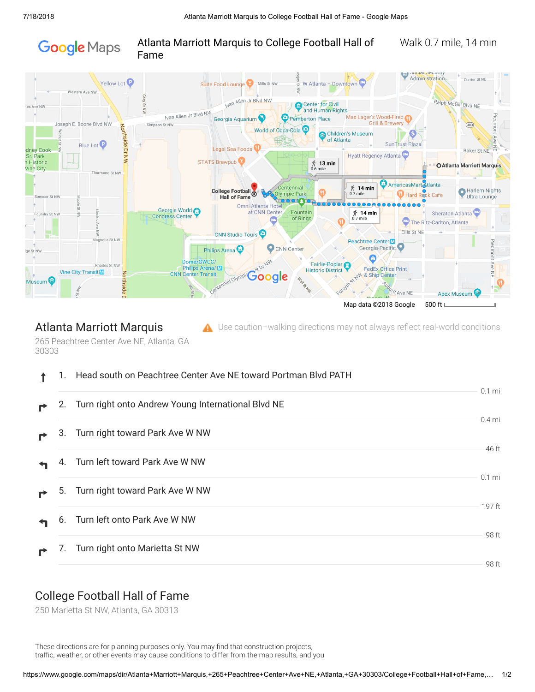

## Atlanta Marriott Marquis

 $\triangle$  Use caution-walking directions may not always reflect real-world conditions

0.1 mi

0.4 mi

46 ft

0.1 mi

197 ft

98 ft

98 ft

265 Peachtree Center Ave NE, Atlanta, GA 30303

|  | 1. Head south on Peachtree Center Ave NE toward Portman Blvd PATH |
|--|-------------------------------------------------------------------|
|  | → 2. Turn right onto Andrew Young International Blvd NE           |
|  | 3. Turn right toward Park Ave W NW                                |
|  |                                                                   |

4. Turn left toward Park Ave W NW

- 5. Turn right toward Park Ave W NW
- 6. Turn left onto Park Ave W NW
- 7. Turn right onto Marietta St NW
- 

## College Football Hall of Fame

250 Marietta St NW, Atlanta, GA 30313

These directions are for planning purposes only. You may find that construction projects, traffic, weather, or other events may cause conditions to differ from the map results, and you